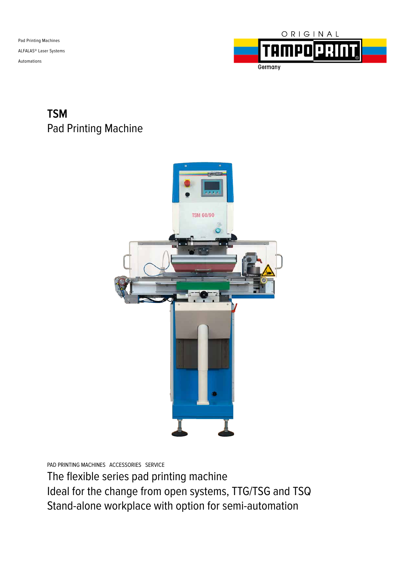Pad Printing Machines ALFALAS® Laser Systems Automations



#### **TSM** Pad Printing Machine



PAD PRINTING MACHINES ACCESSORIES SERVICE

The flexible series pad printing machine Ideal for the change from open systems, TTG/TSG and TSQ Stand-alone workplace with option for semi-automation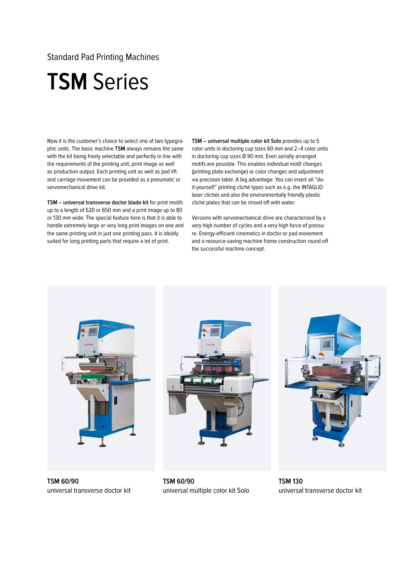Standard Pad Printing Machines

#### **TSM** Series

Now it is the customer's choice to select one of two typographic units. The basic machine **TSM** always remains the same with the kit being freely selectable and perfectly in line with the requirements of the printing unit, print image as well as production output. Each printing unit as well as pad lift and carriage movement can be provided as a pneumatic or servomechanical drive kit.

**TSM – universal transverse doctor blade kit** for print motifs up to a length of 520 or 650 mm and a print image up to 80 or 130 mm wide. The special feature here is that it is able to handle extremely large or very long print images on one and the same printing unit in just one printing pass. It is ideally suited for long printing parts that require a lot of print.

**TSM – universal multiple color kit Solo** provides up to 5 color units in doctoring cup sizes 60 mm and 2–4 color units in doctoring cup sizes Ø 90 mm. Even serially arranged motifs are possible. This enables individual motif changes (printing plate exchange) or color changes and adjustment via precision table. A big advantage: You can insert all "doit-yourself" printing cliché types such as e.g. the INTAGLIO laser clichés and also the environmentally friendly plastic cliché plates that can be rinsed off with water.

Versions with servomechanical drive are characterized by a very high number of cycles and a very high force of pressure. Energy-efficient cinematics in doctor or pad movement and a resource-saving machine frame construction round off the successful machine concept.



**TSM 60/90**  universal transverse doctor kit





**TSM 60/90**  universal multiple color kit Solo

**TSM 130**  universal transverse doctor kit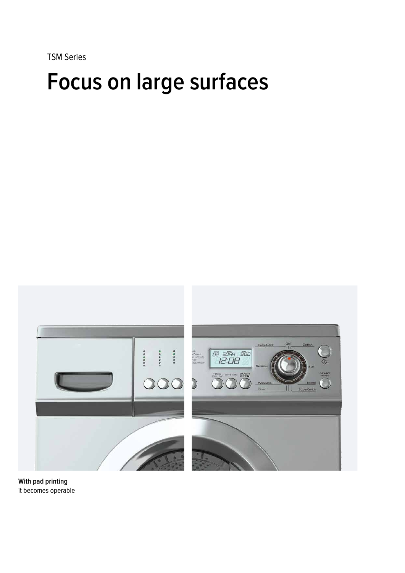TSM Series

# **Focus on large surfaces**



**With pad printing** it becomes operable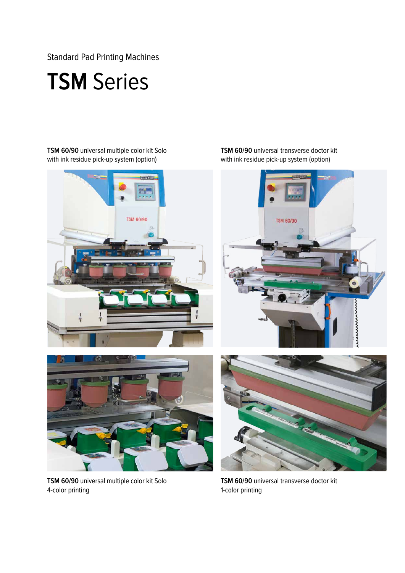Standard Pad Printing Machines

## **TSM** Series

**TSM 60/90** universal multiple color kit Solo with ink residue pick-up system (option)



**TSM 60/90** universal transverse doctor kit with ink residue pick-up system (option)





**TSM 60/90** universal multiple color kit Solo 4-color printing

**TSM 60/90** universal transverse doctor kit 1-color printing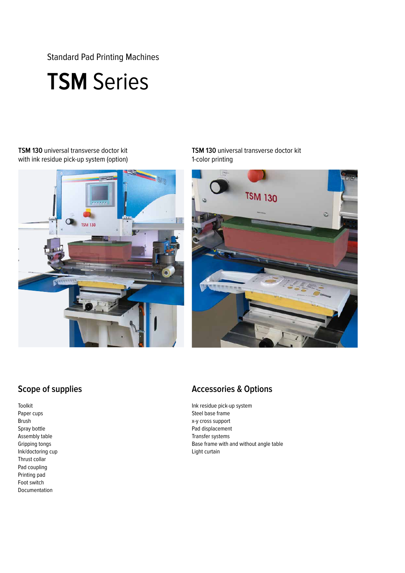Standard Pad Printing Machines

### **TSM** Series

#### **TSM 130** universal transverse doctor kit with ink residue pick-up system (option)



**TSM 130** universal transverse doctor kit 1-color printing



#### **Scope of supplies**

Toolkit Paper cups Brush Spray bottle Assembly table Gripping tongs Ink/doctoring cup Thrust collar Pad coupling Printing pad Foot switch Documentation

#### **Accessories & Options**

Ink residue pick-up system Steel base frame x-y cross support Pad displacement Transfer systems Base frame with and without angle table Light curtain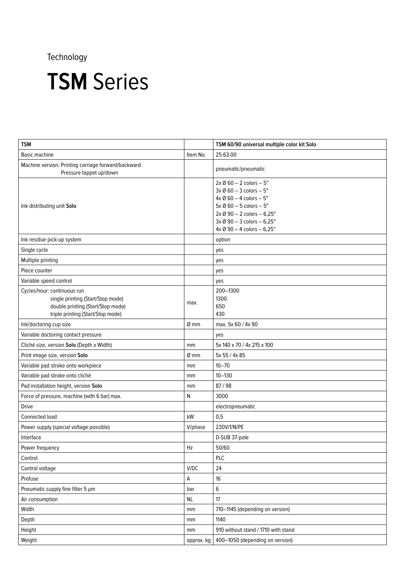| <b>TSM</b>                                                                                                                                 |            | TSM 60/90 universal multiple color kit Solo                                                                                                                                                                                                                         |
|--------------------------------------------------------------------------------------------------------------------------------------------|------------|---------------------------------------------------------------------------------------------------------------------------------------------------------------------------------------------------------------------------------------------------------------------|
| Basic machine                                                                                                                              | Item No.   | 25 63 00                                                                                                                                                                                                                                                            |
| Machine version: Printing carriage forward/backward<br>Pressure tappet up/down                                                             |            | pneumatic/pneumatic                                                                                                                                                                                                                                                 |
| Ink distributing unit Solo                                                                                                                 |            | $2x \emptyset 60 - 2$ colors $-5"$<br>$3x \emptyset 60 - 3$ colors $-5$ "<br>$4x \emptyset 60 - 4$ colors $-5"$<br>$5x \oslash 60 - 5$ colors $-5$ "<br>$2x \oslash 90 - 2$ colors $- 6,25$ "<br>3x Ø 90 - 3 colors - 6,25"<br>$4x \oslash 90 - 4$ colors $-6,25$ " |
| Ink residue pick-up system                                                                                                                 |            | option                                                                                                                                                                                                                                                              |
| Single cycle                                                                                                                               |            | yes                                                                                                                                                                                                                                                                 |
| Multiple printing                                                                                                                          |            | yes                                                                                                                                                                                                                                                                 |
| Piece counter                                                                                                                              |            | yes                                                                                                                                                                                                                                                                 |
| Variable speed control                                                                                                                     |            | yes                                                                                                                                                                                                                                                                 |
| Cycles/hour: continuous run<br>single printing (Start/Stop mode)<br>double printing (Start/Stop mode)<br>triple printing (Start/Stop mode) | max.       | 200-1300<br>1300<br>650<br>430                                                                                                                                                                                                                                      |
| Ink/doctoring cup size                                                                                                                     | $Ø$ mm     | max. 5x 60 / 4x 90                                                                                                                                                                                                                                                  |
| Variable doctoring contact pressure                                                                                                        |            | yes                                                                                                                                                                                                                                                                 |
| Cliché size, version Solo (Depth x Width)                                                                                                  | mm         | 5x 140 x 70 / 4x 215 x 100                                                                                                                                                                                                                                          |
| Print image size, version Solo                                                                                                             | $Ø$ mm     | 5x 55 / 4x 85                                                                                                                                                                                                                                                       |
| Variable pad stroke onto workpiece                                                                                                         | mm         | $10 - 70$                                                                                                                                                                                                                                                           |
| Variable pad stroke onto cliché                                                                                                            | mm         | $10 - 130$                                                                                                                                                                                                                                                          |
| Pad installation height, version Solo                                                                                                      | mm         | 87/98                                                                                                                                                                                                                                                               |
| Force of pressure, machine (with 6 bar) max.                                                                                               | N          | 3000                                                                                                                                                                                                                                                                |
| <b>Drive</b>                                                                                                                               |            | electropneumatic                                                                                                                                                                                                                                                    |
| Connected load                                                                                                                             | kW         | 0,5                                                                                                                                                                                                                                                                 |
| Power supply (special voltage possible)                                                                                                    | V/phase    | 230V/1/N/PE                                                                                                                                                                                                                                                         |
| Interface                                                                                                                                  |            | D-SUB 37-pole                                                                                                                                                                                                                                                       |
| Power frequency                                                                                                                            | Hz         | 50/60                                                                                                                                                                                                                                                               |
| Control                                                                                                                                    |            | PLC                                                                                                                                                                                                                                                                 |
| Control voltage                                                                                                                            | V/DC       | 24                                                                                                                                                                                                                                                                  |
| Prefuse                                                                                                                                    | А          | 16                                                                                                                                                                                                                                                                  |
| Pneumatic supply fine filter 5 µm                                                                                                          | bar        | 6                                                                                                                                                                                                                                                                   |
| Air consumption                                                                                                                            | $\sf NL$   | 17                                                                                                                                                                                                                                                                  |
| Width                                                                                                                                      | mm         | 710-1145 (depending on version)                                                                                                                                                                                                                                     |
| Depth                                                                                                                                      | mm         | 1140                                                                                                                                                                                                                                                                |
| Height                                                                                                                                     | mm         | 910 without stand / 1710 with stand                                                                                                                                                                                                                                 |
| Weight                                                                                                                                     | approx. kg | 400-1050 (depending on version)                                                                                                                                                                                                                                     |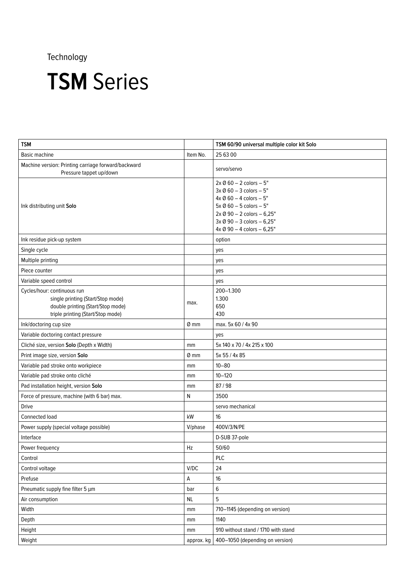| <b>TSM</b>                                                                                                                                 |            | TSM 60/90 universal multiple color kit Solo                                                                                                                                                                                                                         |
|--------------------------------------------------------------------------------------------------------------------------------------------|------------|---------------------------------------------------------------------------------------------------------------------------------------------------------------------------------------------------------------------------------------------------------------------|
| Basic machine                                                                                                                              | Item No.   | 25 63 00                                                                                                                                                                                                                                                            |
| Machine version: Printing carriage forward/backward<br>Pressure tappet up/down                                                             |            | servo/servo                                                                                                                                                                                                                                                         |
| Ink distributing unit Solo                                                                                                                 |            | $2x \emptyset 60 - 2$ colors $-5"$<br>$3x \emptyset 60 - 3$ colors $-5$ "<br>$4x \emptyset 60 - 4$ colors $-5"$<br>$5x \oslash 60 - 5$ colors $-5$ "<br>$2x \oslash 90 - 2$ colors $- 6,25$ "<br>3x Ø 90 - 3 colors - 6,25"<br>$4x \oslash 90 - 4$ colors $-6,25$ " |
| Ink residue pick-up system                                                                                                                 |            | option                                                                                                                                                                                                                                                              |
| Single cycle                                                                                                                               |            | yes                                                                                                                                                                                                                                                                 |
| Multiple printing                                                                                                                          |            | yes                                                                                                                                                                                                                                                                 |
| Piece counter                                                                                                                              |            | yes                                                                                                                                                                                                                                                                 |
| Variable speed control                                                                                                                     |            | yes                                                                                                                                                                                                                                                                 |
| Cycles/hour: continuous run<br>single printing (Start/Stop mode)<br>double printing (Start/Stop mode)<br>triple printing (Start/Stop mode) | max.       | 200-1.300<br>1.300<br>650<br>430                                                                                                                                                                                                                                    |
| Ink/doctoring cup size                                                                                                                     | $Ø$ mm     | max. 5x 60 / 4x 90                                                                                                                                                                                                                                                  |
| Variable doctoring contact pressure                                                                                                        |            | yes                                                                                                                                                                                                                                                                 |
| Cliché size, version Solo (Depth x Width)                                                                                                  | mm         | 5x 140 x 70 / 4x 215 x 100                                                                                                                                                                                                                                          |
| Print image size, version Solo                                                                                                             | $Ø$ mm     | 5x 55 / 4x 85                                                                                                                                                                                                                                                       |
| Variable pad stroke onto workpiece                                                                                                         | mm         | $10 - 80$                                                                                                                                                                                                                                                           |
| Variable pad stroke onto cliché                                                                                                            | mm         | $10 - 120$                                                                                                                                                                                                                                                          |
| Pad installation height, version Solo                                                                                                      | mm         | 87/98                                                                                                                                                                                                                                                               |
| Force of pressure, machine (with 6 bar) max.                                                                                               | N          | 3500                                                                                                                                                                                                                                                                |
| <b>Drive</b>                                                                                                                               |            | servo mechanical                                                                                                                                                                                                                                                    |
| Connected load                                                                                                                             | kW         | 16                                                                                                                                                                                                                                                                  |
| Power supply (special voltage possible)                                                                                                    | V/phase    | 400V/3/N/PE                                                                                                                                                                                                                                                         |
| Interface                                                                                                                                  |            | D-SUB 37-pole                                                                                                                                                                                                                                                       |
| Power frequency                                                                                                                            | Hz         | 50/60                                                                                                                                                                                                                                                               |
| Control                                                                                                                                    |            | PLC                                                                                                                                                                                                                                                                 |
| Control voltage                                                                                                                            | V/DC       | 24                                                                                                                                                                                                                                                                  |
| Prefuse                                                                                                                                    | А          | 16                                                                                                                                                                                                                                                                  |
| Pneumatic supply fine filter 5 µm                                                                                                          | bar        | 6                                                                                                                                                                                                                                                                   |
| Air consumption                                                                                                                            | $\sf NL$   | 5                                                                                                                                                                                                                                                                   |
| Width                                                                                                                                      | mm         | 710-1145 (depending on version)                                                                                                                                                                                                                                     |
| Depth                                                                                                                                      | mm         | 1140                                                                                                                                                                                                                                                                |
| Height                                                                                                                                     | mm         | 910 without stand / 1710 with stand                                                                                                                                                                                                                                 |
| Weight                                                                                                                                     | approx. kg | 400-1050 (depending on version)                                                                                                                                                                                                                                     |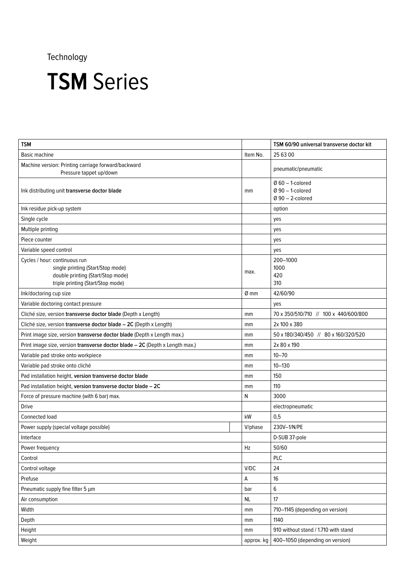| <b>TSM</b>                                                                                                                                   |                  | TSM 60/90 universal transverse doctor kit                        |
|----------------------------------------------------------------------------------------------------------------------------------------------|------------------|------------------------------------------------------------------|
| Basic machine                                                                                                                                | Item No.         | 25 63 00                                                         |
| Machine version: Printing carriage forward/backward<br>Pressure tappet up/down                                                               |                  | pneumatic/pneumatic                                              |
| Ink distributing unit transverse doctor blade                                                                                                | mm               | $Q$ 60 - 1-colored<br>$Ø$ 90 $-$ 1-colored<br>$Q$ 90 - 2-colored |
| Ink residue pick-up system                                                                                                                   |                  | option                                                           |
| Single cycle                                                                                                                                 |                  | yes                                                              |
| Multiple printing                                                                                                                            |                  | yes                                                              |
| Piece counter                                                                                                                                |                  | yes                                                              |
| Variable speed control                                                                                                                       |                  | yes                                                              |
| Cycles / hour: continuous run<br>single printing (Start/Stop mode)<br>double printing (Start/Stop mode)<br>triple printing (Start/Stop mode) | max.             | 200-1000<br>1000<br>420<br>310                                   |
| Ink/doctoring cup size                                                                                                                       | $\varnothing$ mm | 42/60/90                                                         |
| Variable doctoring contact pressure                                                                                                          |                  | yes                                                              |
| Cliché size, version transverse doctor blade (Depth x Length)                                                                                | mm               | 70 x 350/510/710 // 100 x 440/600/800                            |
| Cliché size, version transverse doctor blade - 2C (Depth x Length)                                                                           | mm               | 2x 100 x 380                                                     |
| Print image size, version transverse doctor blade (Depth x Length max.)                                                                      | mm               | 50 x 180/340/450 // 80 x 160/320/520                             |
| Print image size, version transverse doctor blade - 2C (Depth x Length max.)                                                                 | mm               | 2x 80 x 190                                                      |
| Variable pad stroke onto workpiece                                                                                                           | mm               | $10 - 70$                                                        |
| Variable pad stroke onto cliché                                                                                                              | mm               | $10 - 130$                                                       |
| Pad installation height, version transverse doctor blade                                                                                     | mm               | 150                                                              |
| Pad installation height, version transverse doctor blade - 2C                                                                                | mm               | 110                                                              |
| Force of pressure machine (with 6 bar) max.                                                                                                  | ${\sf N}$        | 3000                                                             |
| <b>Drive</b>                                                                                                                                 |                  | electropneumatic                                                 |
| Connected load                                                                                                                               | kW               | 0,5                                                              |
| Power supply (special voltage possible)                                                                                                      | V/phase          | 230V-1/N/PE                                                      |
| Interface                                                                                                                                    |                  | D-SUB 37-pole                                                    |
| Power frequency                                                                                                                              | Hz               | 50/60                                                            |
| Control                                                                                                                                      |                  | <b>PLC</b>                                                       |
| Control voltage                                                                                                                              | V/DC             | 24                                                               |
| Prefuse                                                                                                                                      | А                | 16                                                               |
| Pneumatic supply fine filter 5 µm                                                                                                            | bar              | 6                                                                |
| Air consumption                                                                                                                              | <b>NL</b>        | 17                                                               |
| Width                                                                                                                                        | mm               | 710-1145 (depending on version)                                  |
| Depth                                                                                                                                        | mm               | 1140                                                             |
| Height                                                                                                                                       | mm               | 910 without stand / 1.710 with stand                             |
| Weight                                                                                                                                       | approx. kg       | 400-1050 (depending on version)                                  |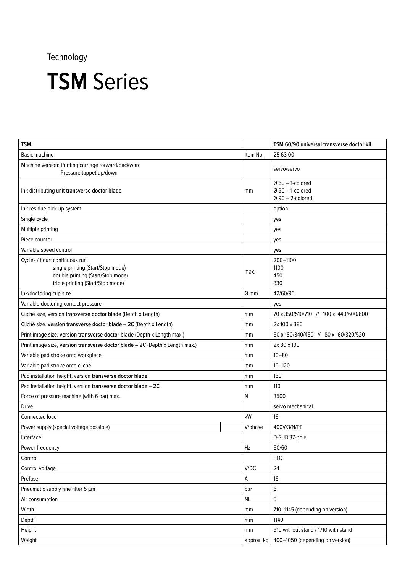| <b>TSM</b>                                                                                                                                   |                  | TSM 60/90 universal transverse doctor kit                        |
|----------------------------------------------------------------------------------------------------------------------------------------------|------------------|------------------------------------------------------------------|
| Basic machine                                                                                                                                | Item No.         | 25 63 00                                                         |
| Machine version: Printing carriage forward/backward<br>Pressure tappet up/down                                                               |                  | servo/servo                                                      |
| Ink distributing unit transverse doctor blade                                                                                                | mm               | $@60 - 1$ -colored<br>$Ø$ 90 $-$ 1-colored<br>$Q$ 90 - 2-colored |
| Ink residue pick-up system                                                                                                                   |                  | option                                                           |
| Single cycle                                                                                                                                 |                  | yes                                                              |
| Multiple printing                                                                                                                            |                  | yes                                                              |
| Piece counter                                                                                                                                |                  | yes                                                              |
| Variable speed control                                                                                                                       |                  | yes                                                              |
| Cycles / hour: continuous run<br>single printing (Start/Stop mode)<br>double printing (Start/Stop mode)<br>triple printing (Start/Stop mode) | max.             | 200-1100<br>1100<br>450<br>330                                   |
| Ink/doctoring cup size                                                                                                                       | $\varnothing$ mm | 42/60/90                                                         |
| Variable doctoring contact pressure                                                                                                          |                  | yes                                                              |
| Cliché size, version transverse doctor blade (Depth x Length)                                                                                | mm               | 70 x 350/510/710 // 100 x 440/600/800                            |
| Cliché size, version transverse doctor blade - 2C (Depth x Length)                                                                           | mm               | 2x 100 x 380                                                     |
| Print image size, version transverse doctor blade (Depth x Length max.)                                                                      | mm               | 50 x 180/340/450 // 80 x 160/320/520                             |
| Print image size, version transverse doctor blade - 2C (Depth x Length max.)                                                                 |                  | 2x 80 x 190                                                      |
| Variable pad stroke onto workpiece                                                                                                           |                  | $10 - 80$                                                        |
| Variable pad stroke onto cliché                                                                                                              |                  | $10 - 120$                                                       |
| Pad installation height, version transverse doctor blade                                                                                     |                  | 150                                                              |
| Pad installation height, version transverse doctor blade - 2C                                                                                | mm               | 110                                                              |
| Force of pressure machine (with 6 bar) max.                                                                                                  | N                | 3500                                                             |
| <b>Drive</b>                                                                                                                                 |                  | servo mechanical                                                 |
| Connected load                                                                                                                               | kW               | 16                                                               |
| Power supply (special voltage possible)                                                                                                      | V/phase          | 400V/3/N/PE                                                      |
| Interface                                                                                                                                    |                  | D-SUB 37-pole                                                    |
| Power frequency                                                                                                                              | Hz               | 50/60                                                            |
| Control                                                                                                                                      |                  | <b>PLC</b>                                                       |
| Control voltage                                                                                                                              | V/DC             | 24                                                               |
| Prefuse                                                                                                                                      | А                | 16                                                               |
| Pneumatic supply fine filter 5 µm                                                                                                            | bar              | 6                                                                |
| Air consumption                                                                                                                              | <b>NL</b>        | 5                                                                |
| Width                                                                                                                                        | mm               | 710-1145 (depending on version)                                  |
| Depth                                                                                                                                        | mm               | 1140                                                             |
| Height                                                                                                                                       | mm               | 910 without stand / 1710 with stand                              |
| Weight                                                                                                                                       | approx. kg       | 400-1050 (depending on version)                                  |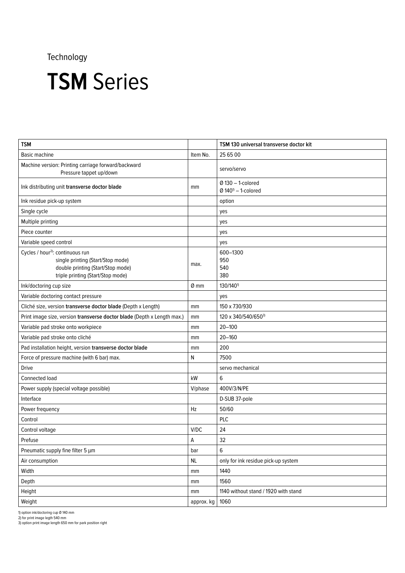### **TSM** Series

| <b>TSM</b>                                                                                                                                                  |            | TSM 130 universal transverse doctor kit                   |
|-------------------------------------------------------------------------------------------------------------------------------------------------------------|------------|-----------------------------------------------------------|
| Basic machine                                                                                                                                               | Item No.   | 25 65 00                                                  |
| Machine version: Printing carriage forward/backward<br>Pressure tappet up/down                                                                              |            | servo/servo                                               |
| Ink distributing unit transverse doctor blade                                                                                                               | mm         | $Ø$ 130 $-$ 1-colored<br>$Q$ 140 <sup>1</sup> - 1-colored |
| Ink residue pick-up system                                                                                                                                  |            | option                                                    |
| Single cycle                                                                                                                                                |            | yes                                                       |
| Multiple printing                                                                                                                                           |            | yes                                                       |
| Piece counter                                                                                                                                               |            | yes                                                       |
| Variable speed control                                                                                                                                      |            | yes                                                       |
| Cycles / hour <sup>2)</sup> : continuous run<br>single printing (Start/Stop mode)<br>double printing (Start/Stop mode)<br>triple printing (Start/Stop mode) | max.       | 600-1300<br>950<br>540<br>380                             |
| Ink/doctoring cup size                                                                                                                                      | $Ø$ mm     | 130/140 <sup>1)</sup>                                     |
| Variable doctoring contact pressure                                                                                                                         |            | yes                                                       |
| Cliché size, version transverse doctor blade (Depth x Length)                                                                                               | mm         | 150 x 730/930                                             |
| Print image size, version transverse doctor blade (Depth x Length max.)                                                                                     | mm         | 120 x 340/540/6503)                                       |
| Variable pad stroke onto workpiece                                                                                                                          | mm         | $20 - 100$                                                |
| Variable pad stroke onto cliché                                                                                                                             | mm         | $20 - 160$                                                |
| Pad installation height, version transverse doctor blade                                                                                                    | mm         | 200                                                       |
| Force of pressure machine (with 6 bar) max.                                                                                                                 | N          | 7500                                                      |
| <b>Drive</b>                                                                                                                                                |            | servo mechanical                                          |
| Connected load                                                                                                                                              | kW         | 6                                                         |
| Power supply (special voltage possible)                                                                                                                     | V/phase    | 400V/3/N/PE                                               |
| Interface                                                                                                                                                   |            | D-SUB 37-pole                                             |
| Power frequency                                                                                                                                             | Hz         | 50/60                                                     |
| Control                                                                                                                                                     |            | <b>PLC</b>                                                |
| Control voltage                                                                                                                                             | V/DC       | 24                                                        |
| Prefuse                                                                                                                                                     | A          | 32                                                        |
| Pneumatic supply fine filter 5 µm                                                                                                                           | bar        | 6                                                         |
| Air consumption                                                                                                                                             | NL         | only for ink residue pick-up system                       |
| Width                                                                                                                                                       | mm         | 1440                                                      |
| Depth                                                                                                                                                       | mm         | 1560                                                      |
| Height                                                                                                                                                      | mm         | 1140 without stand / 1920 with stand                      |
| Weight                                                                                                                                                      | approx. kg | 1060                                                      |

1) option ink/doctoring cup Ø 140 mm 2) for print image legth 540 mm 3) option print image length 650 mm for park position right